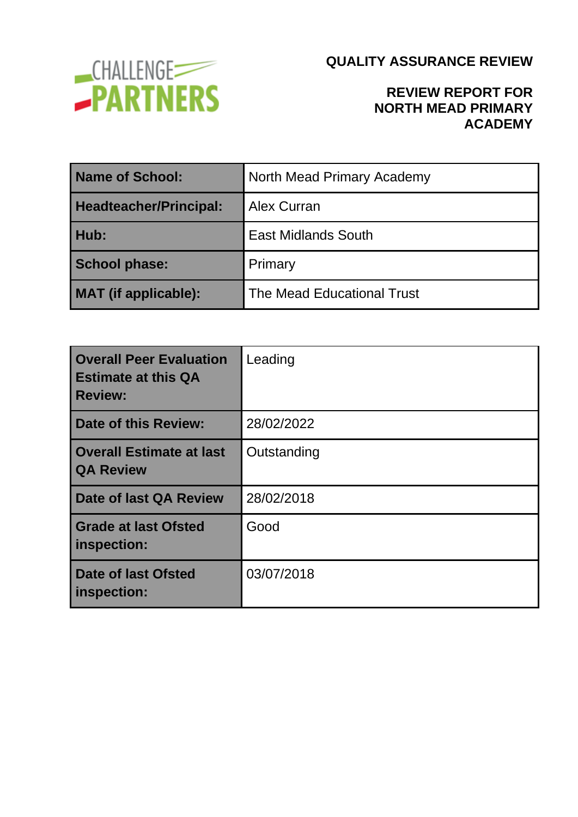

### **REVIEW REPORT FOR NORTH MEAD PRIMARY ACADEMY**

| <b>Name of School:</b>        | North Mead Primary Academy        |  |
|-------------------------------|-----------------------------------|--|
| <b>Headteacher/Principal:</b> | Alex Curran                       |  |
| Hub:                          | <b>East Midlands South</b>        |  |
| <b>School phase:</b>          | Primary                           |  |
| <b>MAT</b> (if applicable):   | <b>The Mead Educational Trust</b> |  |

| <b>Overall Peer Evaluation</b><br><b>Estimate at this QA</b><br><b>Review:</b> | Leading     |
|--------------------------------------------------------------------------------|-------------|
| Date of this Review:                                                           | 28/02/2022  |
| <b>Overall Estimate at last</b><br><b>QA Review</b>                            | Outstanding |
| Date of last QA Review                                                         | 28/02/2018  |
| <b>Grade at last Ofsted</b><br>inspection:                                     | Good        |
| Date of last Ofsted<br>inspection:                                             | 03/07/2018  |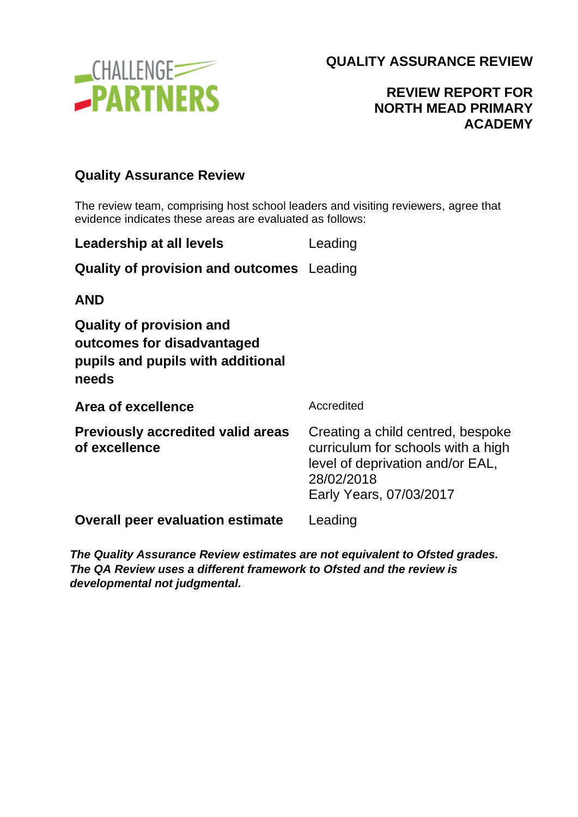

## **REVIEW REPORT FOR NORTH MEAD PRIMARY ACADEMY**

#### **Quality Assurance Review**

The review team, comprising host school leaders and visiting reviewers, agree that evidence indicates these areas are evaluated as follows:

| Leadership at all levels                         | Leading |
|--------------------------------------------------|---------|
| <b>Quality of provision and outcomes</b> Leading |         |

**AND**

**Quality of provision and outcomes for disadvantaged pupils and pupils with additional needs**

| Area of excellence                                        | Accredited                                                                                                                                           |
|-----------------------------------------------------------|------------------------------------------------------------------------------------------------------------------------------------------------------|
| <b>Previously accredited valid areas</b><br>of excellence | Creating a child centred, bespoke<br>curriculum for schools with a high<br>level of deprivation and/or EAL,<br>28/02/2018<br>Early Years, 07/03/2017 |
| <b>Overall peer evaluation estimate</b>                   | Leading                                                                                                                                              |
|                                                           |                                                                                                                                                      |

*The Quality Assurance Review estimates are not equivalent to Ofsted grades. The QA Review uses a different framework to Ofsted and the review is developmental not judgmental.*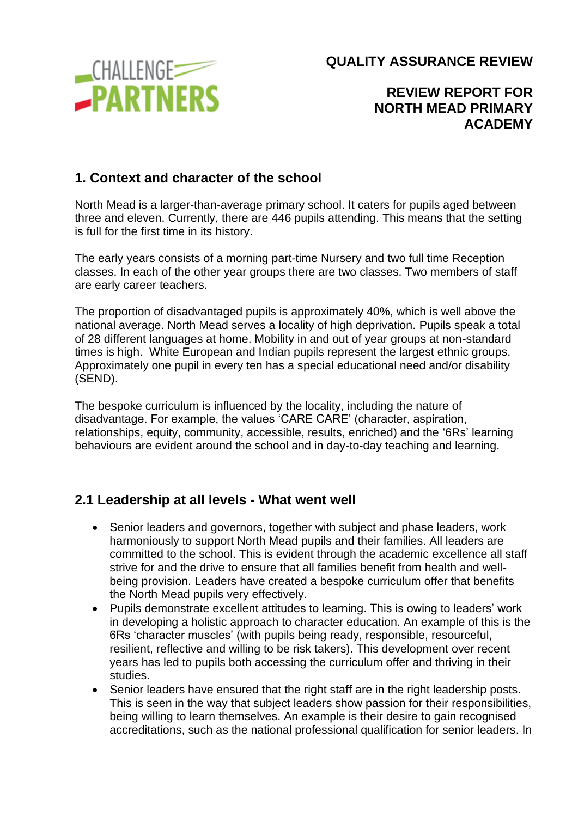

**REVIEW REPORT FOR NORTH MEAD PRIMARY ACADEMY**

### **1. Context and character of the school**

North Mead is a larger-than-average primary school. It caters for pupils aged between three and eleven. Currently, there are 446 pupils attending. This means that the setting is full for the first time in its history.

The early years consists of a morning part-time Nursery and two full time Reception classes. In each of the other year groups there are two classes. Two members of staff are early career teachers.

The proportion of disadvantaged pupils is approximately 40%, which is well above the national average. North Mead serves a locality of high deprivation. Pupils speak a total of 28 different languages at home. Mobility in and out of year groups at non-standard times is high. White European and Indian pupils represent the largest ethnic groups. Approximately one pupil in every ten has a special educational need and/or disability (SEND).

The bespoke curriculum is influenced by the locality, including the nature of disadvantage. For example, the values 'CARE CARE' (character, aspiration, relationships, equity, community, accessible, results, enriched) and the '6Rs' learning behaviours are evident around the school and in day-to-day teaching and learning.

### **2.1 Leadership at all levels - What went well**

- Senior leaders and governors, together with subject and phase leaders, work harmoniously to support North Mead pupils and their families. All leaders are committed to the school. This is evident through the academic excellence all staff strive for and the drive to ensure that all families benefit from health and wellbeing provision. Leaders have created a bespoke curriculum offer that benefits the North Mead pupils very effectively.
- Pupils demonstrate excellent attitudes to learning. This is owing to leaders' work in developing a holistic approach to character education. An example of this is the 6Rs 'character muscles' (with pupils being ready, responsible, resourceful, resilient, reflective and willing to be risk takers). This development over recent years has led to pupils both accessing the curriculum offer and thriving in their studies.
- Senior leaders have ensured that the right staff are in the right leadership posts. This is seen in the way that subject leaders show passion for their responsibilities, being willing to learn themselves. An example is their desire to gain recognised accreditations, such as the national professional qualification for senior leaders. In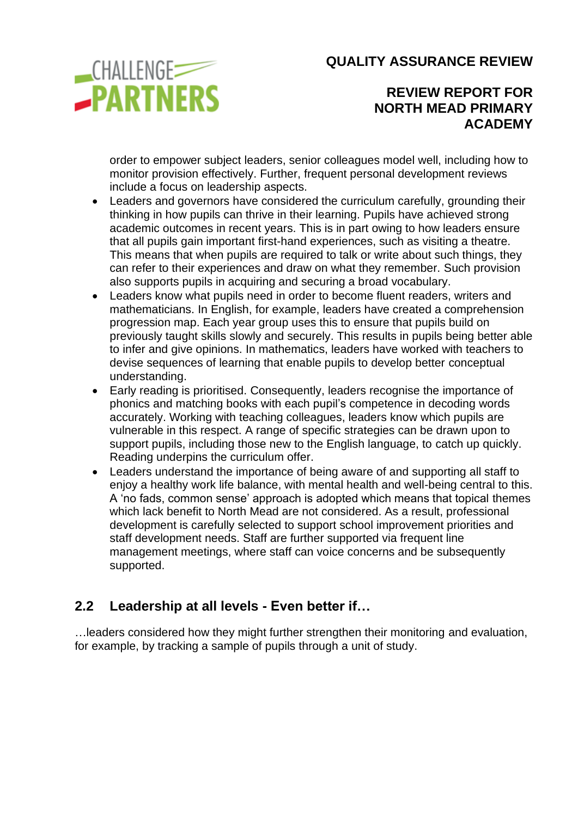

### **REVIEW REPORT FOR NORTH MEAD PRIMARY ACADEMY**

order to empower subject leaders, senior colleagues model well, including how to monitor provision effectively. Further, frequent personal development reviews include a focus on leadership aspects.

- Leaders and governors have considered the curriculum carefully, grounding their thinking in how pupils can thrive in their learning. Pupils have achieved strong academic outcomes in recent years. This is in part owing to how leaders ensure that all pupils gain important first-hand experiences, such as visiting a theatre. This means that when pupils are required to talk or write about such things, they can refer to their experiences and draw on what they remember. Such provision also supports pupils in acquiring and securing a broad vocabulary.
- Leaders know what pupils need in order to become fluent readers, writers and mathematicians. In English, for example, leaders have created a comprehension progression map. Each year group uses this to ensure that pupils build on previously taught skills slowly and securely. This results in pupils being better able to infer and give opinions. In mathematics, leaders have worked with teachers to devise sequences of learning that enable pupils to develop better conceptual understanding.
- Early reading is prioritised. Consequently, leaders recognise the importance of phonics and matching books with each pupil's competence in decoding words accurately. Working with teaching colleagues, leaders know which pupils are vulnerable in this respect. A range of specific strategies can be drawn upon to support pupils, including those new to the English language, to catch up quickly. Reading underpins the curriculum offer.
- Leaders understand the importance of being aware of and supporting all staff to enjoy a healthy work life balance, with mental health and well-being central to this. A 'no fads, common sense' approach is adopted which means that topical themes which lack benefit to North Mead are not considered. As a result, professional development is carefully selected to support school improvement priorities and staff development needs. Staff are further supported via frequent line management meetings, where staff can voice concerns and be subsequently supported.

## **2.2 Leadership at all levels - Even better if…**

…leaders considered how they might further strengthen their monitoring and evaluation, for example, by tracking a sample of pupils through a unit of study.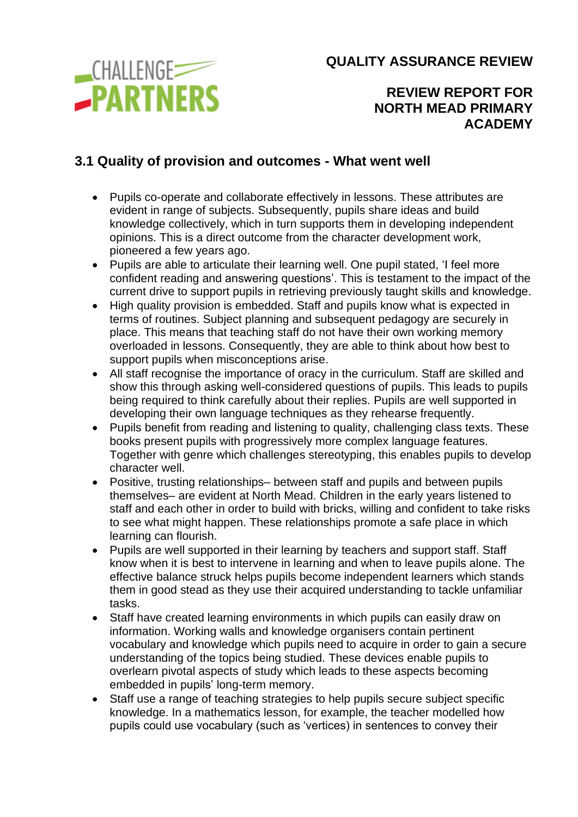

**REVIEW REPORT FOR NORTH MEAD PRIMARY ACADEMY**

### **3.1 Quality of provision and outcomes - What went well**

- Pupils co-operate and collaborate effectively in lessons. These attributes are evident in range of subjects. Subsequently, pupils share ideas and build knowledge collectively, which in turn supports them in developing independent opinions. This is a direct outcome from the character development work, pioneered a few years ago.
- Pupils are able to articulate their learning well. One pupil stated, 'I feel more confident reading and answering questions'. This is testament to the impact of the current drive to support pupils in retrieving previously taught skills and knowledge.
- High quality provision is embedded. Staff and pupils know what is expected in terms of routines. Subject planning and subsequent pedagogy are securely in place. This means that teaching staff do not have their own working memory overloaded in lessons. Consequently, they are able to think about how best to support pupils when misconceptions arise.
- All staff recognise the importance of oracy in the curriculum. Staff are skilled and show this through asking well-considered questions of pupils. This leads to pupils being required to think carefully about their replies. Pupils are well supported in developing their own language techniques as they rehearse frequently.
- Pupils benefit from reading and listening to quality, challenging class texts. These books present pupils with progressively more complex language features. Together with genre which challenges stereotyping, this enables pupils to develop character well.
- Positive, trusting relationships– between staff and pupils and between pupils themselves– are evident at North Mead. Children in the early years listened to staff and each other in order to build with bricks, willing and confident to take risks to see what might happen. These relationships promote a safe place in which learning can flourish.
- Pupils are well supported in their learning by teachers and support staff. Staff know when it is best to intervene in learning and when to leave pupils alone. The effective balance struck helps pupils become independent learners which stands them in good stead as they use their acquired understanding to tackle unfamiliar tasks.
- Staff have created learning environments in which pupils can easily draw on information. Working walls and knowledge organisers contain pertinent vocabulary and knowledge which pupils need to acquire in order to gain a secure understanding of the topics being studied. These devices enable pupils to overlearn pivotal aspects of study which leads to these aspects becoming embedded in pupils' long-term memory.
- Staff use a range of teaching strategies to help pupils secure subject specific knowledge. In a mathematics lesson, for example, the teacher modelled how pupils could use vocabulary (such as 'vertices) in sentences to convey their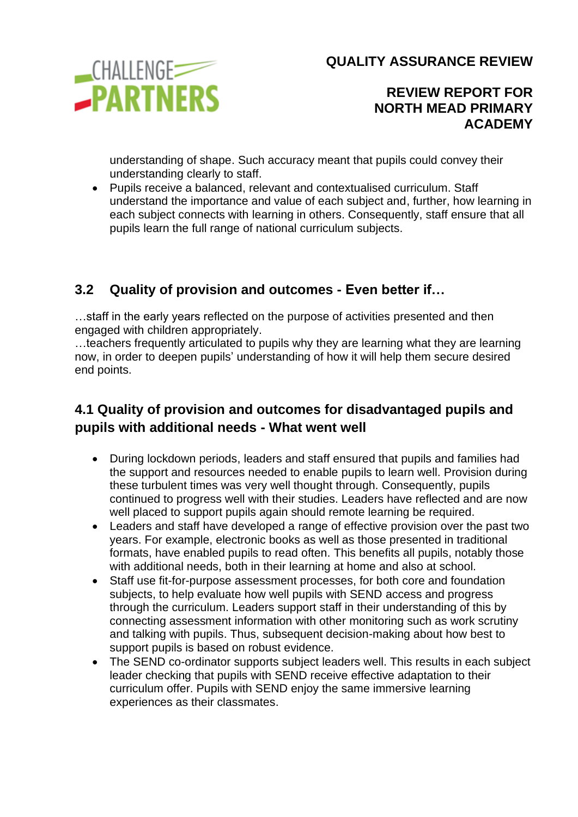

#### **REVIEW REPORT FOR NORTH MEAD PRIMARY ACADEMY**

understanding of shape. Such accuracy meant that pupils could convey their understanding clearly to staff.

• Pupils receive a balanced, relevant and contextualised curriculum. Staff understand the importance and value of each subject and, further, how learning in each subject connects with learning in others. Consequently, staff ensure that all pupils learn the full range of national curriculum subjects.

# **3.2 Quality of provision and outcomes - Even better if…**

…staff in the early years reflected on the purpose of activities presented and then engaged with children appropriately.

…teachers frequently articulated to pupils why they are learning what they are learning now, in order to deepen pupils' understanding of how it will help them secure desired end points.

## **4.1 Quality of provision and outcomes for disadvantaged pupils and pupils with additional needs - What went well**

- During lockdown periods, leaders and staff ensured that pupils and families had the support and resources needed to enable pupils to learn well. Provision during these turbulent times was very well thought through. Consequently, pupils continued to progress well with their studies. Leaders have reflected and are now well placed to support pupils again should remote learning be required.
- Leaders and staff have developed a range of effective provision over the past two years. For example, electronic books as well as those presented in traditional formats, have enabled pupils to read often. This benefits all pupils, notably those with additional needs, both in their learning at home and also at school.
- Staff use fit-for-purpose assessment processes, for both core and foundation subjects, to help evaluate how well pupils with SEND access and progress through the curriculum. Leaders support staff in their understanding of this by connecting assessment information with other monitoring such as work scrutiny and talking with pupils. Thus, subsequent decision-making about how best to support pupils is based on robust evidence.
- The SEND co-ordinator supports subject leaders well. This results in each subject leader checking that pupils with SEND receive effective adaptation to their curriculum offer. Pupils with SEND enjoy the same immersive learning experiences as their classmates.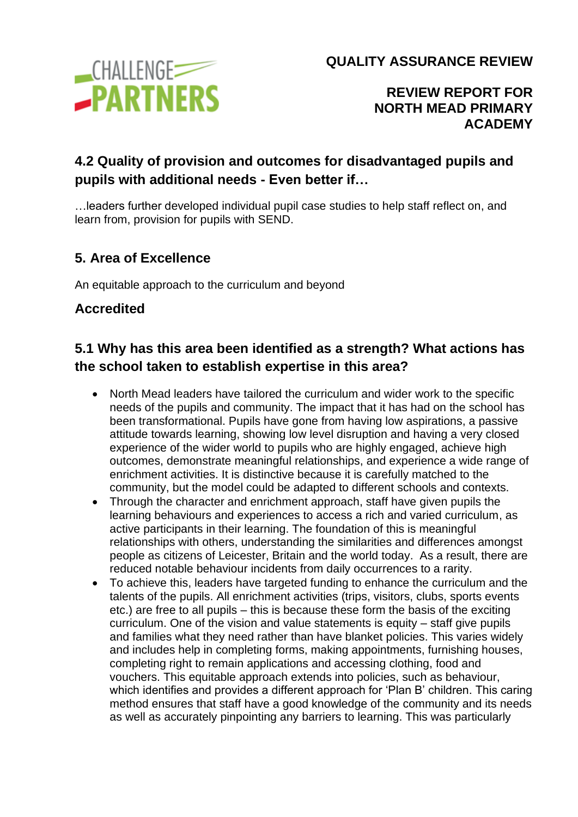

**REVIEW REPORT FOR NORTH MEAD PRIMARY ACADEMY**

# **4.2 Quality of provision and outcomes for disadvantaged pupils and pupils with additional needs - Even better if…**

…leaders further developed individual pupil case studies to help staff reflect on, and learn from, provision for pupils with SEND.

## **5. Area of Excellence**

An equitable approach to the curriculum and beyond

#### **Accredited**

## **5.1 Why has this area been identified as a strength? What actions has the school taken to establish expertise in this area?**

- North Mead leaders have tailored the curriculum and wider work to the specific needs of the pupils and community. The impact that it has had on the school has been transformational. Pupils have gone from having low aspirations, a passive attitude towards learning, showing low level disruption and having a very closed experience of the wider world to pupils who are highly engaged, achieve high outcomes, demonstrate meaningful relationships, and experience a wide range of enrichment activities. It is distinctive because it is carefully matched to the community, but the model could be adapted to different schools and contexts.
- Through the character and enrichment approach, staff have given pupils the learning behaviours and experiences to access a rich and varied curriculum, as active participants in their learning. The foundation of this is meaningful relationships with others, understanding the similarities and differences amongst people as citizens of Leicester, Britain and the world today. As a result, there are reduced notable behaviour incidents from daily occurrences to a rarity.
- To achieve this, leaders have targeted funding to enhance the curriculum and the talents of the pupils. All enrichment activities (trips, visitors, clubs, sports events etc.) are free to all pupils – this is because these form the basis of the exciting curriculum. One of the vision and value statements is equity – staff give pupils and families what they need rather than have blanket policies. This varies widely and includes help in completing forms, making appointments, furnishing houses, completing right to remain applications and accessing clothing, food and vouchers. This equitable approach extends into policies, such as behaviour, which identifies and provides a different approach for 'Plan B' children. This caring method ensures that staff have a good knowledge of the community and its needs as well as accurately pinpointing any barriers to learning. This was particularly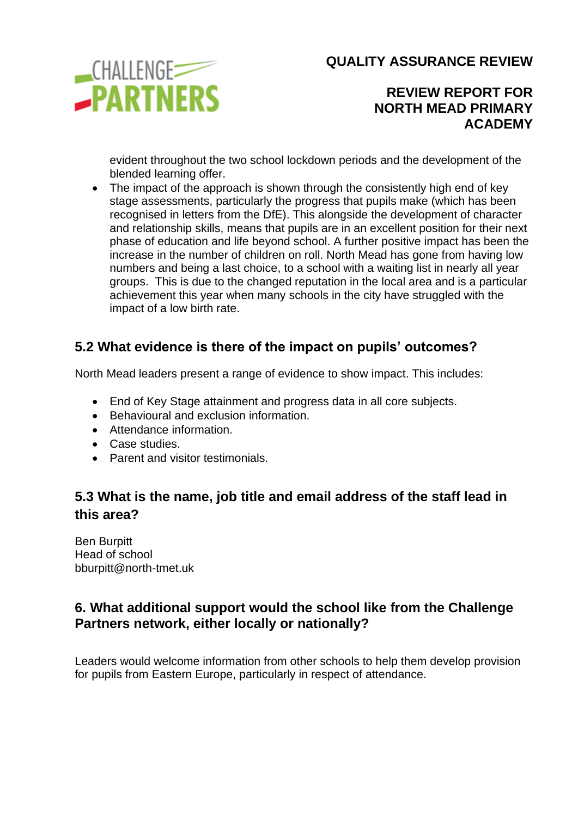

### **REVIEW REPORT FOR NORTH MEAD PRIMARY ACADEMY**

evident throughout the two school lockdown periods and the development of the blended learning offer.

• The impact of the approach is shown through the consistently high end of key stage assessments, particularly the progress that pupils make (which has been recognised in letters from the DfE). This alongside the development of character and relationship skills, means that pupils are in an excellent position for their next phase of education and life beyond school. A further positive impact has been the increase in the number of children on roll. North Mead has gone from having low numbers and being a last choice, to a school with a waiting list in nearly all year groups. This is due to the changed reputation in the local area and is a particular achievement this year when many schools in the city have struggled with the impact of a low birth rate.

### **5.2 What evidence is there of the impact on pupils' outcomes?**

North Mead leaders present a range of evidence to show impact. This includes:

- End of Key Stage attainment and progress data in all core subjects.
- Behavioural and exclusion information.
- Attendance information.
- Case studies.
- Parent and visitor testimonials.

# **5.3 What is the name, job title and email address of the staff lead in this area?**

Ben Burpitt Head of school bburpitt@north-tmet.uk

### **6. What additional support would the school like from the Challenge Partners network, either locally or nationally?**

Leaders would welcome information from other schools to help them develop provision for pupils from Eastern Europe, particularly in respect of attendance.